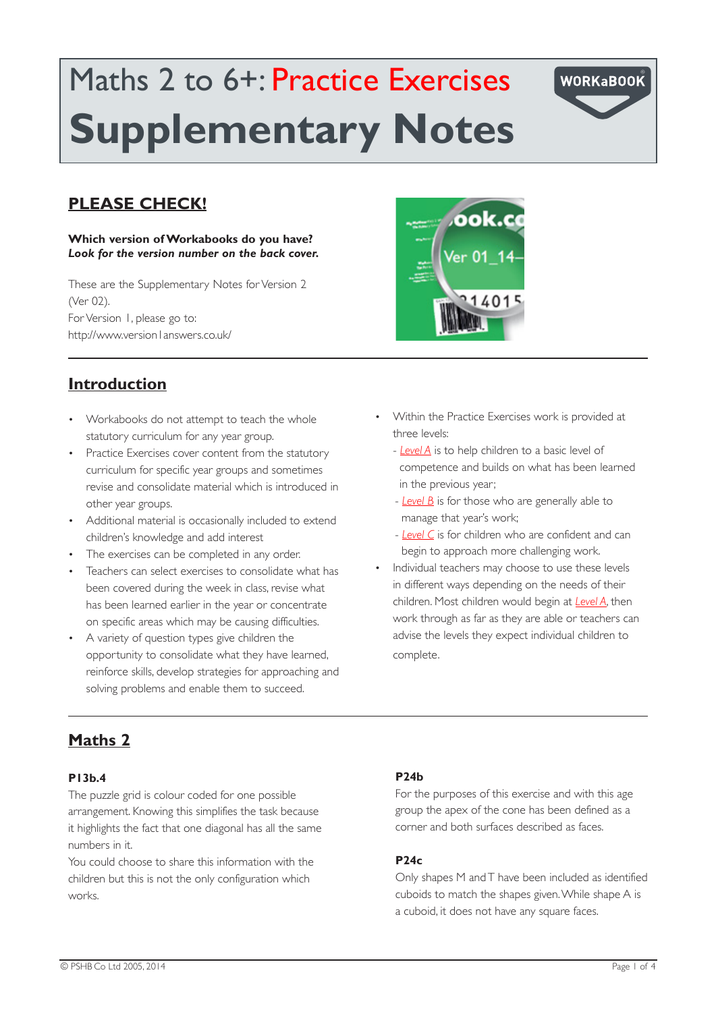# Maths 2 to 6+: Practice Exercises **Supplementary Notes**

## **PLEASE CHECK!**

#### **Which version of Workabooks do you have?** *Look for the version number on the back cover.*

These are the Supplementary Notes for Version 2 (Ver 02). For Version 1, please go to: http://www.version1answers.co.uk/

# ook.co /er 01 14 14015

## **Introduction**

- • Workabooks do not attempt to teach the whole statutory curriculum for any year group.
- Practice Exercises cover content from the statutory curriculum for specific year groups and sometimes revise and consolidate material which is introduced in other year groups.
- • Additional material is occasionally included to extend children's knowledge and add interest
- The exercises can be completed in any order.
- Teachers can select exercises to consolidate what has been covered during the week in class, revise what has been learned earlier in the year or concentrate on specific areas which may be causing difficulties.
- • A variety of question types give children the opportunity to consolidate what they have learned, reinforce skills, develop strategies for approaching and solving problems and enable them to succeed.
- • Within the Practice Exercises work is provided at three levels:
	- *Level A* is to help children to a basic level of competence and builds on what has been learned in the previous year;

**WORKaBOOK** 

- *Level B* is for those who are generally able to manage that year's work;
- *Level C* is for children who are confident and can begin to approach more challenging work.
- Individual teachers may choose to use these levels in different ways depending on the needs of their children. Most children would begin at *Level A*, then work through as far as they are able or teachers can advise the levels they expect individual children to complete.

# **Maths 2**

### **P13b.4**

The puzzle grid is colour coded for one possible arrangement. Knowing this simplifies the task because it highlights the fact that one diagonal has all the same numbers in it.

You could choose to share this information with the children but this is not the only configuration which works.

### **P24b**

For the purposes of this exercise and with this age group the apex of the cone has been defined as a corner and both surfaces described as faces.

### **P24c**

Only shapes M and T have been included as identified cuboids to match the shapes given. While shape A is a cuboid, it does not have any square faces.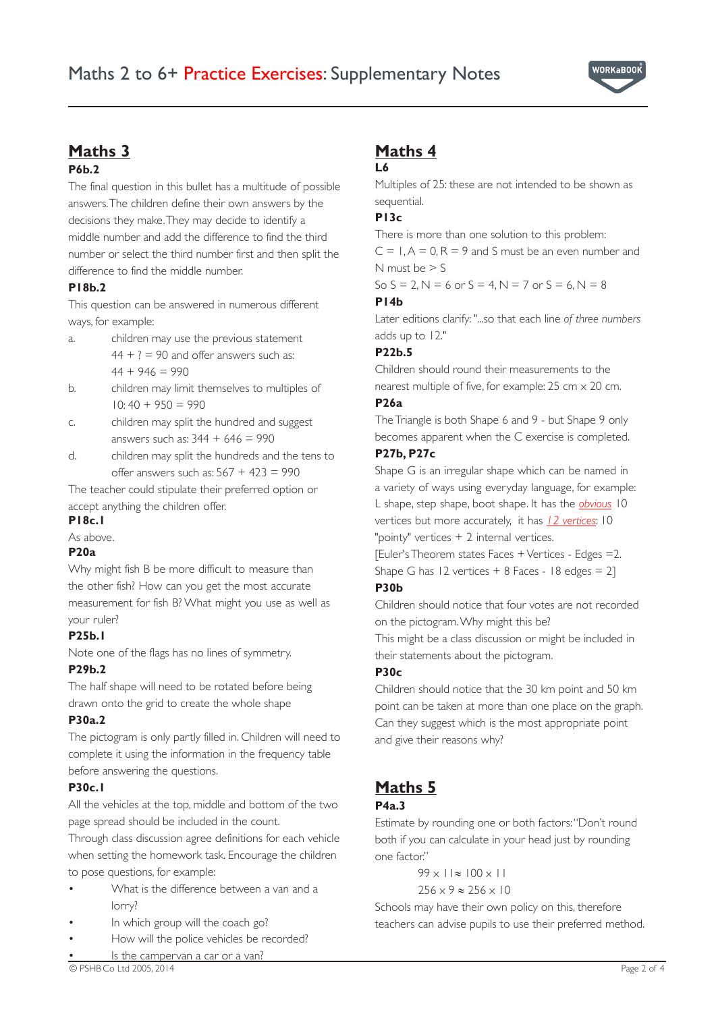

### **Maths 3**

### **P6b.2**

The final question in this bullet has a multitude of possible answers. The children define their own answers by the decisions they make. They may decide to identify a middle number and add the difference to find the third number or select the third number first and then split the difference to find the middle number.

### **P18b.2**

This question can be answered in numerous different ways, for example:

- a. children may use the previous statement  $44 + ? = 90$  and offer answers such as:  $44 + 946 = 990$
- b. children may limit themselves to multiples of  $10: 40 + 950 = 990$
- c. children may split the hundred and suggest answers such as:  $344 + 646 = 990$
- d. children may split the hundreds and the tens to offer answers such as:  $567 + 423 = 990$

The teacher could stipulate their preferred option or accept anything the children offer.

### **P18c.1**

As above.

### **P20a**

Why might fish B be more difficult to measure than the other fish? How can you get the most accurate measurement for fish B? What might you use as well as your ruler?

### **P25b.1**

Note one of the flags has no lines of symmetry.

### **P29b.2**

The half shape will need to be rotated before being drawn onto the grid to create the whole shape

### **P30a.2**

The pictogram is only partly filled in. Children will need to complete it using the information in the frequency table before answering the questions.

### **P30c.1**

All the vehicles at the top, middle and bottom of the two page spread should be included in the count.

Through class discussion agree definitions for each vehicle when setting the homework task. Encourage the children to pose questions, for example:

- What is the difference between a van and a lorry?
- In which group will the coach go?
- How will the police vehicles be recorded?
- Is the campervan a car or a van?

# **Maths 4**

### **L6**

Multiples of 25: these are not intended to be shown as sequential.

### **P13c**

There is more than one solution to this problem:

 $C = 1, A = 0, R = 9$  and S must be an even number and N must be  $> 5$ 

So  $S = 2$ ,  $N = 6$  or  $S = 4$ ,  $N = 7$  or  $S = 6$ ,  $N = 8$ 

### **P14b**

Later editions clarify: "...so that each line *of three numbers*  adds up to 12."

### **P22b.5**

Children should round their measurements to the nearest multiple of five, for example: 25 cm x 20 cm.

### **P26a**

The Triangle is both Shape 6 and 9 - but Shape 9 only becomes apparent when the C exercise is completed.

### **P27b, P27c**

Shape G is an irregular shape which can be named in a variety of ways using everyday language, for example: L shape, step shape, boot shape. It has the *obvious* 10 vertices but more accurately, it has *12 vertices*: 10

"pointy" vertices + 2 internal vertices.

[Euler's Theorem states Faces + Vertices - Edges =2. Shape G has  $12$  vertices  $+ 8$  Faces -  $18$  edges  $= 21$ 

### **P30b**

Children should notice that four votes are not recorded on the pictogram. Why might this be?

This might be a class discussion or might be included in their statements about the pictogram.

### **P30c**

Children should notice that the 30 km point and 50 km point can be taken at more than one place on the graph. Can they suggest which is the most appropriate point and give their reasons why?

# **Maths 5**

### **P4a.3**

Estimate by rounding one or both factors: "Don't round both if you can calculate in your head just by rounding one factor."

> 99 x 11≈ 100 x 11 256 x 9 ≈ 256 x 10

Schools may have their own policy on this, therefore teachers can advise pupils to use their preferred method.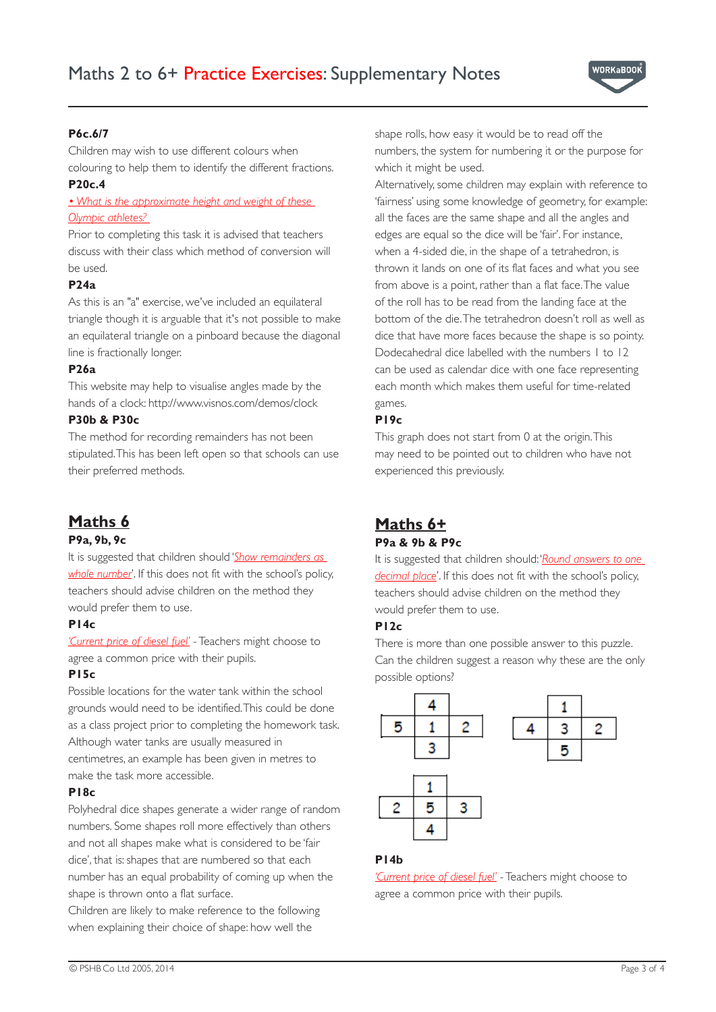

### **P6c.6/7**

Children may wish to use different colours when colouring to help them to identify the different fractions.

### **P20c.4**

*• What is the approximate height and weight of these Olympic athletes?* 

Prior to completing this task it is advised that teachers discuss with their class which method of conversion will be used.

### **P24a**

As this is an "a" exercise, we've included an equilateral triangle though it is arguable that it's not possible to make an equilateral triangle on a pinboard because the diagonal line is fractionally longer.

### **P26a**

This website may help to visualise angles made by the hands of a clock: http://www.visnos.com/demos/clock

### **P30b & P30c**

The method for recording remainders has not been stipulated. This has been left open so that schools can use their preferred methods.

## **Maths 6**

#### **P9a, 9b, 9c**

It is suggested that children should '*Show remainders as whole number*'. If this does not fit with the school's policy, teachers should advise children on the method they would prefer them to use.

### **P14c**

*'Current price of diesel fuel'* - Teachers might choose to agree a common price with their pupils.

### **P15c**

Possible locations for the water tank within the school grounds would need to be identified. This could be done as a class project prior to completing the homework task. Although water tanks are usually measured in centimetres, an example has been given in metres to make the task more accessible.

#### **P18c**

Polyhedral dice shapes generate a wider range of random numbers. Some shapes roll more effectively than others and not all shapes make what is considered to be 'fair dice', that is: shapes that are numbered so that each number has an equal probability of coming up when the shape is thrown onto a flat surface.

Children are likely to make reference to the following when explaining their choice of shape: how well the

shape rolls, how easy it would be to read off the numbers, the system for numbering it or the purpose for which it might be used.

Alternatively, some children may explain with reference to 'fairness' using some knowledge of geometry, for example: all the faces are the same shape and all the angles and edges are equal so the dice will be 'fair'. For instance, when a 4-sided die, in the shape of a tetrahedron, is thrown it lands on one of its flat faces and what you see from above is a point, rather than a flat face. The value of the roll has to be read from the landing face at the bottom of the die. The tetrahedron doesn't roll as well as dice that have more faces because the shape is so pointy. Dodecahedral dice labelled with the numbers 1 to 12 can be used as calendar dice with one face representing each month which makes them useful for time-related games.

### **P19c**

This graph does not start from 0 at the origin. This may need to be pointed out to children who have not experienced this previously.

### **Maths 6+ P9a & 9b & P9c**

It is suggested that children should: '*Round answers to one decimal place*'. If this does not fit with the school's policy, teachers should advise children on the method they would prefer them to use.

### **P12c**

There is more than one possible answer to this puzzle. Can the children suggest a reason why these are the only possible options?



### **P14b**

*'Current price of diesel fuel'* - Teachers might choose to agree a common price with their pupils.